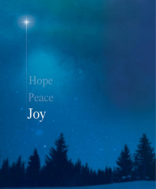Hope Peace Joy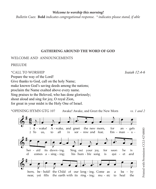#### *Welcome to worship this morning!*

*Bulletin Cues:* **Bold** *indicates congregational response. \* indicates please stand, if able*

# **GATHERING AROUND THE WORD OF GOD**

## WELCOME AND ANNOUNCEMENTS

PRELUDE

# \*CALL TO WORSHIP *Isaiah 12:4-6*

Prepare the way of the Lord! Give thanks to God, call on the holy Name; make known God's saving deeds among the nations; proclaim the Name exalted above every name. Sing praises to the Beloved, who has done gloriously; shout aloud and sing for joy, O royal Zion, for great in your midst is the Holy One of Israel.

\*OPENING HYMN GTG 107 Awake! Awake, and Greet the New Morn *vs. 1 and 2*



Printed with Permission CCLI #2748883 Printed with Permission CCLI #2748883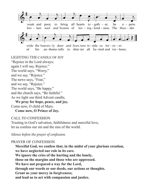

LIGHTING THE CANDLE OF JOY "Rejoice in the Lord always; again I will say, Rejoice." The world says, "Worry," and we say, "Rejoice." The news says, "Fear," and we say, "Rejoice." The world says, "Be happy," and the church says, "Be faithful." As we light our third Advent candle, **We pray for hope, peace, and joy.**

Come now, O child of Mary.

**Come now, O Prince of Joy.**

CALL TO CONFESSION

Trusting in God's salvation, faithfulness and merciful love, let us confess our sin and the sins of the world.

*Silence before the prayer of confession.*

## PRAYER OF CONFESSION

**Merciful God, we confess that, in the midst of your glorious creation, we have neglected our role in its care. We ignore the cries of the hurting and the lonely, those on the margins and those who are oppressed. We have not prepared a way for the Lord, through our words or our deeds, our actions or thoughts. Grant us your mercy in forgiveness; and lead us to act with compassion and justice.**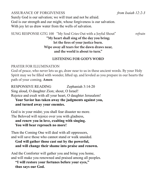ASSURANCE OF FORGIVENESS *from Isaiah 12:2-3* Surely God is our salvation; we will trust and not be afraid. God is our strength and our might, whose forgiveness is our salvation. With joy let us draw water from the wells of salvation.

SUNG RESPONSE GTG 100 "My Soul Cries Out with a Joyful Shout" *refrain*

# **"My heart shall sing of the day you bring; let the fires of your justice burn. Wipe away all tears for the dawn draws near, and the world is about to turn."**

# **LISTENING FOR GOD'S WORD**

# PRAYER FOR ILLUMINATION

God of peace, who never lets us go, draw near to us in these ancient words. By your Holy Spirit may we be filled with wonder, lifted up, and leveled as you prepare in our hearts the path of your coming. **Amen**

RESPONSIVE READING Zephaniah 3:14-20 Sing aloud, O daughter Zion; shout, O Israel! Rejoice and exult with all your heart, O daughter Jerusalem! **Your Savior has taken away the judgments against you,** 

**and turned away your enemies.** 

God is in your midst; you shall fear disaster no more. The Beloved will rejoice over you with gladness,

**and renew you in love, exulting with singing. You will bear reproach no more!**

Then the Coming One will deal with all oppressors, and will save those who cannot stand or walk unaided.

**God will gather those cast out by the powerful, and will change their shame into praise and renown.** 

And the Comforter will gather you and bring you home, and will make you renowned and praised among all peoples.

**"I will restore your fortunes before your eyes," thus says our God.**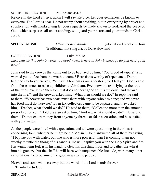SCRIPTURE READING Philippians 4:4-7

Rejoice in the Lord always; again I will say, Rejoice. Let your gentleness be known to everyone. The Lord is near. Do not worry about anything, but in everything by prayer and supplication with thanksgiving let your requests be made known to God. And the peace of God, which surpasses all understanding, will guard your hearts and your minds in Christ Jesus.

SPECIAL MUSIC *I Wonder as I Wander* Jubellation Handbell Choir Traditional folk song arr. by Dave Howland

GOSPEL READING Luke 3:7-18

*Luke tells us that John's words are good news. Where in John's message do you hear good news?*

John said to the crowds that came out to be baptized by him, "You brood of vipers! Who warned you to flee from the wrath to come? Bear fruits worthy of repentance. Do not begin to say to yourselves, 'We have Abraham as our ancestor'; for I tell you, God is able from these stones to raise up children to Abraham. Even now the ax is lying at the root of the trees; every tree therefore that does not bear good fruit is cut down and thrown into the fire." And the crowds asked him, "What then should we do?" In reply he said to them, "Whoever has two coats must share with anyone who has none; and whoever has food must do likewise." Even tax collectors came to be baptized, and they asked him, "Teacher, what should we do?" He said to them, "Collect no more than the amount prescribed for you." Soldiers also asked him, "And we, what should we do?" He said to them, "Do not extort money from anyone by threats or false accusation, and be satisfied with your wages."

As the people were filled with expectation, and all were questioning in their hearts concerning John, whether he might be the Messiah, John answered all of them by saying, "I baptize you with water; but one who is more powerful than I is coming; I am not worthy to untie the thong of his sandals. He will baptize you with the Holy Spirit and fire. His winnowing fork is in his hand, to clear his threshing floor and to gather the wheat into his granary; but the chaff he will burn with unquenchable fire." So, with many other exhortations, he proclaimed the good news to the people.

Heaven and earth will pass away but the word of the Lord stands forever.

**Thanks be to God.**

SERMON *A Joyful Wonder* Pastor Jan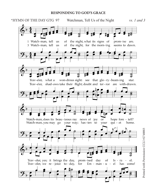#### **RESPONDING TO GOD'S GRACE**

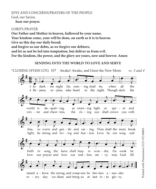# JOYS AND CONCERNS/PRAYERS OF THE PEOPLE God, our Savior,

#### **hear our prayer.**

#### LORD'S PRAYER

**Our Father and Mother in heaven, hallowed be your name. Your kindom come, your will be done, on earth as it is in heaven. Give us this day our daily bread; and forgive us our debts, as we forgive our debtors; and let us not be led into temptation, but deliver us from evil.**

**For the kindom, the power, and the glory are yours, now and forever. Amen**

## **SENDING INTO THE WORLD TO LOVE AND SERVE**

\*CLOSING HYMN GTG 107 Awake! Awake, and Greet the New Morn *vs. 3 and 4*

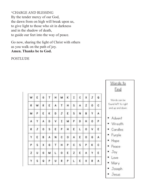\*CHARGE AND BLESSING By the tender mercy of our God, the dawn from on high will break upon us, to give light to those who sit in darkness and in the shadow of death, to guide our feet into the way of peace.

Go now, sharing the light of Christ with others as you walk on the path of joy. **Amen. Thanks be to God.**

POSTLUDE

| w  | ε | G | т | н | м            | K       | $I \vert C$     |              | X | J | Q |
|----|---|---|---|---|--------------|---------|-----------------|--------------|---|---|---|
| R  | W | R | Ε | A | т            | н       | $\vert s \vert$ | $\mathsf{A}$ | z | ٥ | с |
| м  | Ρ | ε | κ | D | ${\tt J}$    | E       | $\vert$ s       | Ν            | В | Υ | A |
| A  | Υ | Α | D | V | 1            | м       | P               | D            | н | о | P |
| R  | J | 0 | s | Ε | P            | н       | E               | L            | ٥ | ۷ | E |
| Y  | E | B | A | Ν | $\mathbf{c}$ | $\circ$ | Α               | E            | о | G | Α |
| P. | s | X | G | T | н            | P       | c s             |              | Ρ | κ | C |
| z  | U | G | м | L | $\circ$      | E       | z               | E            | A | Υ | ε |
| Y  | S | Q | Ρ | υ | R            | P       | L               | ε            | X | R | Α |



Jesus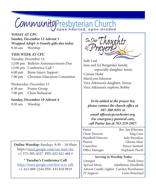# CommunityPresbyterian Church

# **TODAY AT CPC**

**Sunday, December 12 Advent 3** *Wrapped Adopt-A-Family gifts due today* 9:30 am Worship

# **THIS WEEK AT CPC**

Tuesday, December 14 12:00 pm Bulletin Announcements Due 12:00 pm Conference Call \* 6:00 pm Brain Injury Support 7:00 pm Christian Education Committee

## Wednesday, December 15

| 6:30 am           | Prayer Group    |
|-------------------|-----------------|
| $7:00 \text{ pm}$ | Choir Rehearsal |

## **Sunday, December 19 Advent 4**

9:30 am Worship

**Online Worship:** Sundays 9:30 – 10:30am https://meet.google.com/vao-wjef-cbe +1 575-305-4527 PIN: 652 821 468 #

**\* Tuesday's Conference Call**  https://meet.google.com/kee-rcys-sdh +1 413-889-2244 PIN: 433 818 991#

In Our Thoughts

Judy Leal Jane and Ed Burgstaler family, especially daughter Jenny Connie Holst MariLynn Johnson Vera Atkinson's daughter, Teresa Vera Atkinson's nephew, Bobby

*To be added to the prayer list, please contact the church office at 507-280-9291 or email office@cpcrochester.org. For emergency pastoral care, call Pastor Jan at 763-219-2927.*

Pastor Rev. Jan Wiersma Choir Director Meg Cain Handbell Director Judy Kereakos Pianist Glenna Muir Custodian Nancy Sanford Office Manager Stephanie Pasch

## **Serving in Worship Today**

Liturgist Frank Jones Special Music *Jubellation Handbells* Advent Candle Lighter Carolyn Bornhauser IT Support Louis Bouchard